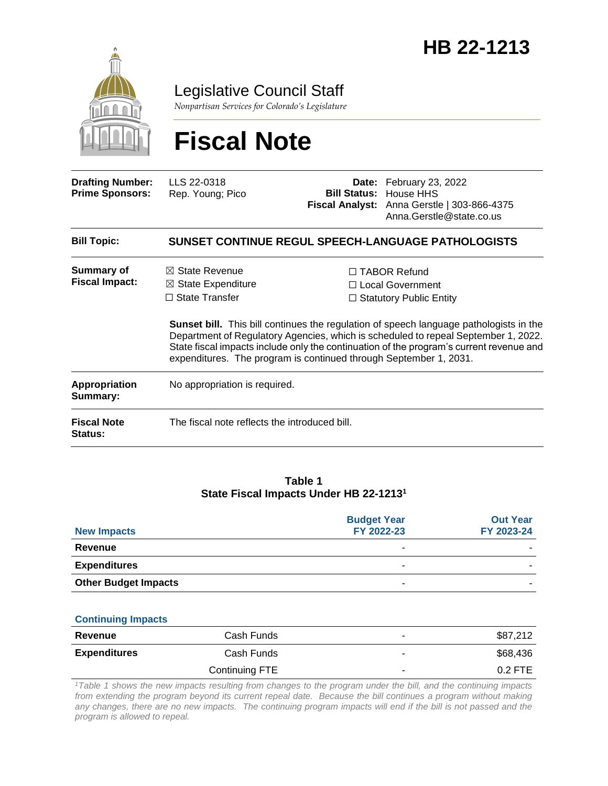

Legislative Council Staff

*Nonpartisan Services for Colorado's Legislature*

# **Fiscal Note**

| <b>Drafting Number:</b><br><b>Prime Sponsors:</b> | LLS 22-0318<br>Rep. Young; Pico                                                                                                                                                                                                                                                                                                                     |  | <b>Date:</b> February 23, 2022<br><b>Bill Status: House HHS</b><br>Fiscal Analyst: Anna Gerstle   303-866-4375<br>Anna.Gerstle@state.co.us |  |  |
|---------------------------------------------------|-----------------------------------------------------------------------------------------------------------------------------------------------------------------------------------------------------------------------------------------------------------------------------------------------------------------------------------------------------|--|--------------------------------------------------------------------------------------------------------------------------------------------|--|--|
| <b>Bill Topic:</b>                                | <b>SUNSET CONTINUE REGUL SPEECH-LANGUAGE PATHOLOGISTS</b>                                                                                                                                                                                                                                                                                           |  |                                                                                                                                            |  |  |
| <b>Summary of</b><br><b>Fiscal Impact:</b>        | $\boxtimes$ State Revenue<br>$\boxtimes$ State Expenditure<br>$\Box$ State Transfer                                                                                                                                                                                                                                                                 |  | $\Box$ TABOR Refund<br>□ Local Government<br>$\Box$ Statutory Public Entity                                                                |  |  |
|                                                   | <b>Sunset bill.</b> This bill continues the regulation of speech language pathologists in the<br>Department of Regulatory Agencies, which is scheduled to repeal September 1, 2022.<br>State fiscal impacts include only the continuation of the program's current revenue and<br>expenditures. The program is continued through September 1, 2031. |  |                                                                                                                                            |  |  |
| <b>Appropriation</b><br>Summary:                  | No appropriation is required.                                                                                                                                                                                                                                                                                                                       |  |                                                                                                                                            |  |  |
| <b>Fiscal Note</b><br><b>Status:</b>              | The fiscal note reflects the introduced bill.                                                                                                                                                                                                                                                                                                       |  |                                                                                                                                            |  |  |
|                                                   |                                                                                                                                                                                                                                                                                                                                                     |  |                                                                                                                                            |  |  |

#### **Table 1 State Fiscal Impacts Under HB 22-1213<sup>1</sup>**

| <b>New Impacts</b>          | <b>Budget Year</b><br>FY 2022-23 | <b>Out Year</b><br>FY 2023-24 |
|-----------------------------|----------------------------------|-------------------------------|
| Revenue                     | -                                |                               |
| <b>Expenditures</b>         | -                                |                               |
| <b>Other Budget Impacts</b> |                                  |                               |

#### **Continuing Impacts**

| Revenue             | Cash Funds     | ۰ | \$87,212  |
|---------------------|----------------|---|-----------|
| <b>Expenditures</b> | Cash Funds     |   | \$68,436  |
|                     | Continuing FTE | ۰ | $0.2$ FTE |

*<sup>1</sup>Table 1 shows the new impacts resulting from changes to the program under the bill, and the continuing impacts from extending the program beyond its current repeal date. Because the bill continues a program without making any changes, there are no new impacts. The continuing program impacts will end if the bill is not passed and the program is allowed to repeal.*